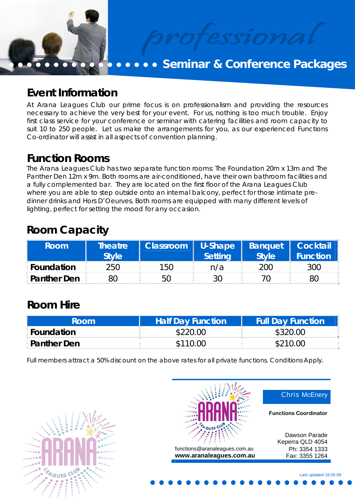

## **• • Seminar & Conference Packages**

### **Event Information**

At Arana Leagues Club our prime focus is on professionalism and providing the resources necessary to achieve the very best for your event. For us, nothing is too much trouble. Enjoy first class service for your conference or seminar with catering facilities and room capacity to suit 10 to 250 people. Let us make the arrangements for you, as our experienced Functions Co-ordinator will assist in all aspects of convention planning.

**Function Rooms**<br>The Arana Leagues Club has two separate function rooms: The Foundation 20m x 13m and The Panther Den 12m x 9m. Both rooms are air-conditioned, have their own bathroom facilities and a fully complemented bar. They are located on the first floor of the Arana Leagues Club where you are able to step outside onto an internal balcony, perfect for those intimate predinner drinks and Hors D'Oeurves. Both rooms are equipped with many different levels of lighting, perfect for setting the mood for any occasion.

# **Room Capacity**

| Room                 | <b>Theatre</b><br><b>Style</b> | Classroom   U-Shape   Banquet   Cocktail | <b>Setting</b> | <b>Style</b> | <b>Function</b> 1 |
|----------------------|--------------------------------|------------------------------------------|----------------|--------------|-------------------|
| E Foundation         | 250                            | 150                                      | n/a            | ນ00 ∶        | 300               |
| <b>E</b> Panther Den |                                | 50                                       |                |              |                   |

### **Room Hire**

| Room.                | <b>Half Day Function</b> | <b>Full Day Function</b> |
|----------------------|--------------------------|--------------------------|
| <b>E</b> Foundation  | \$220.00                 | \$320.00                 |
| <b>E</b> Panther Den | \$110.00                 | \$210.00                 |

Full members attract a 50% discount on the above rates for all private functions. Conditions Apply.



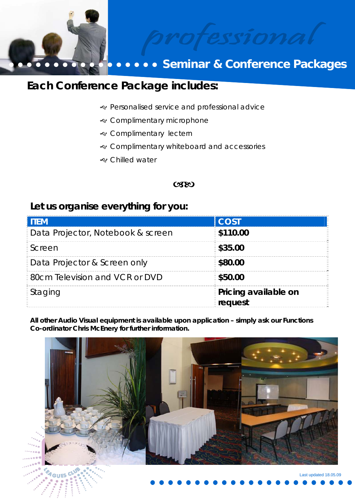

# **• • Seminar & Conference Packages**

### **Each Conference Package includes:**

- J Personalised service and professional advice
- & Complimentary microphone
- & Complimentary lectern
- & Complimentary whiteboard and accessories
- J Chilled water

#### **CSEO**

### **Let us organise everything for you:**

| <b>ITEM</b>                             | COST                                                   |
|-----------------------------------------|--------------------------------------------------------|
| Data Projector, Notebook & screen       | $\frac{2}{3}$ \$110.00                                 |
| E Screen                                | $\frac{1}{2}$ \$35.00                                  |
| <b>Data Projector &amp; Screen only</b> | $\frac{2}{3}$ \$80.00                                  |
| <b>BOCM Television and VCR or DVD</b>   | \$50.00                                                |
| <b>Staging</b>                          | <b>Pricing available on</b><br><i><b>E</b></i> request |

**All other Audio Visual equipment is available upon application – simply ask our Functions Co-ordinator Chris McEnery for further information.** 

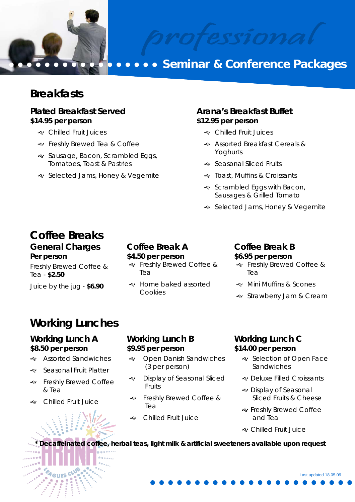

# **Seminar & Conference Packages**

### **Breakfasts**

#### **Plated Breakfast Served \$14.95 per person**

- e Chilled Fruit Juices
- & Freshly Brewed Tea & Coffee
- Sausage, Bacon, Scrambled Eggs, Tomatoes, Toast & Pastries
- · Selected Jams, Honey & Vegemite

#### **Arana's Breakfast Buffet \$12.95 per person**

- e Chilled Fruit Juices
- & Assorted Breakfast Cereals & Yoghurts
- · Seasonal Sliced Fruits
- & Toast, Muffins & Croissants
- Scrambled Eggs with Bacon, Sausages & Grilled Tomato
- · Selected Jams, Honey & Vegemite

# **Coffee Breaks**

#### **General Charges Per person**

Freshly Brewed Coffee & Tea - **\$2.50**

Juice by the jug - **\$6.90**

#### **Coffee Break A \$4.50 per person**

- & Freshly Brewed Coffee & Tea
- J Home baked assorted Cookies

### **Coffee Break B**

#### **\$6.95 per person**

- & Freshly Brewed Coffee & Tea
- Mini Muffins & Scones
- & Strawberry Jam & Cream

### **Working Lunches**

#### **Working Lunch A \$8.50 per person**

- & Assorted Sandwiches
- · Seasonal Fruit Platter
- & Freshly Brewed Coffee & Tea
- e Chilled Fruit Juice

#### **Working Lunch B \$9.95 per person**

- & Open Danish Sandwiches (3 per person)
- Display of Seasonal Sliced Fruits
- Freshly Brewed Coffee & Tea
- e Chilled Fruit Juice

#### **Working Lunch C \$14.00 per person**

- · Selection of Open Face Sandwiches
- & Deluxe Filled Croissants
- & Display of Seasonal Sliced Fruits & Cheese
- & Freshly Brewed Coffee and Tea
- e Chilled Fruit Juice

Decaffeinated coffee, herbal teas, light milk & artificial sweeteners available upon request

Last updated 18.05.09